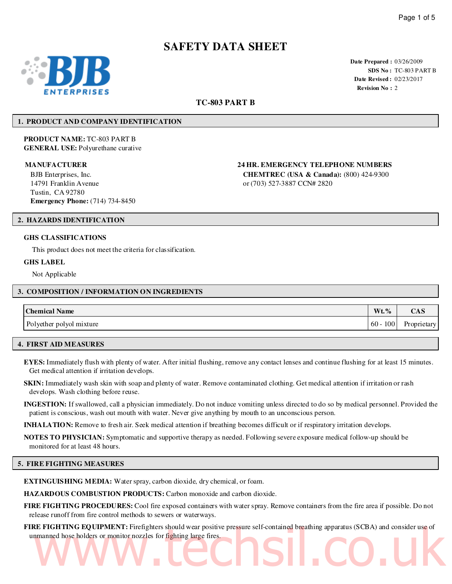# **SAFETY DATA SHEET**



**Date Prepared :** 03/26/2009 **SDS No :** TC-803 PART B **Date Revised :** 02/23/2017 **Revision No :** 2

# **TC-803 PART B**

# **1. PRODUCT AND COMPANY IDENTIFICATION**

**PRODUCT NAME:** TC-803 PART B **GENERAL USE:** Polyurethane curative

BJB Enterprises, Inc. 14791 Franklin Avenue Tustin, CA 92780 **Emergency Phone:** (714) 734-8450

**MANUFACTURER 24 HR. EMERGENCY TELEPHONE NUMBERS**

**CHEMTREC (USA & Canada):** (800) 424-9300 or (703) 527-3887 CCN# 2820

# **2. HAZARDS IDENTIFICATION**

#### **GHS CLASSIFICATIONS**

This product does not meet the criteria for classification.

#### **GHS LABEL**

Not Applicable

#### **3. COMPOSITION / INFORMATION ON INGREDIENTS**

| <b>Chemical Name</b>     | $Wt. \%$      | UA S        |
|--------------------------|---------------|-------------|
| Polyether polyol mixture | $60 -$<br>100 | Proprietary |

# **4. FIRST AID MEASURES**

**EYES:** Immediately flush with plenty of water. After initial flushing, remove any contact lenses and continue flushing for at least 15 minutes. Get medical attention if irritation develops.

**SKIN:** Immediately wash skin with soap and plenty of water. Remove contaminated clothing. Get medical attention if irritation or rash develops. Wash clothing before reuse.

**INGESTION:** If swallowed, call a physician immediately. Do not induce vomiting unless directed to do so by medical personnel. Provided the patient is conscious, wash out mouth with water. Never give anything by mouth to an unconscious person.

**INHALATION:** Remove to fresh air. Seek medical attention if breathing becomes difficult or if respiratory irritation develops.

**NOTES TO PHYSICIAN:** Symptomatic and supportive therapy as needed. Following severe exposure medical follow-up should be monitored for at least 48 hours.

# **5. FIRE FIGHTING MEASURES**

**EXTINGUISHING MEDIA:** Water spray, carbon dioxide, dry chemical, or foam.

**HAZARDOUS COMBUSTION PRODUCTS:** Carbon monoxide and carbon dioxide.

**FIRE FIGHTING PROCEDURES:** Cool fire exposed containers with water spray. Remove containers from the fire area if possible. Do not release runoff from fire control methods to sewers or waterways.

**FIRE FIGHTING EQUIPMENT:** Firefighters should wear positive pressure self-contained breathing apparatus (SCBA) and consider use of unmanned hose holders or monitor nozzles for fighting large fires. manned hose holders or monitor nozzles for fighting large fires.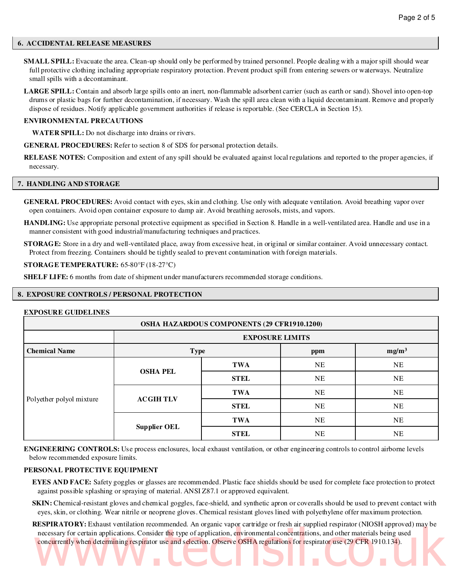## **6. ACCIDENTAL RELEASE MEASURES**

**SMALL SPILL:** Evacuate the area. Clean-up should only be performed by trained personnel. People dealing with a major spill should wear full protective clothing including appropriate respiratory protection. Prevent product spill from entering sewers or waterways. Neutralize small spills with a decontaminant.

**LARGE SPILL:** Contain and absorb large spills onto an inert, non-flammable adsorbent carrier (such as earth or sand). Shovel into open-top drums or plastic bags for further decontamination, if necessary. Wash the spill area clean with a liquid decontaminant. Remove and properly dispose of residues. Notify applicable government authorities if release is reportable. (See CERCLA in Section 15).

## **ENVIRONMENTAL PRECAUTIONS**

**WATER SPILL:** Do not discharge into drains or rivers.

**GENERAL PROCEDURES:** Refer to section 8 of SDS for personal protection details.

**RELEASE NOTES:** Composition and extent of any spill should be evaluated against local regulations and reported to the proper agencies, if necessary.

#### **7. HANDLING AND STORAGE**

**GENERAL PROCEDURES:** Avoid contact with eyes, skin and clothing. Use only with adequate ventilation. Avoid breathing vapor over open containers. Avoid open container exposure to damp air. Avoid breathing aerosols, mists, and vapors.

**HANDLING:** Use appropriate personal protective equipment as specified in Section 8. Handle in a well-ventilated area. Handle and use in a manner consistent with good industrial/manufacturing techniques and practices.

**STORAGE:** Store in a dry and well-ventilated place, away from excessive heat, in original or similar container. Avoid unnecessary contact. Protect from freezing. Containers should be tightly sealed to prevent contamination with foreign materials.

#### **STORAGE TEMPERATURE:** 65-80°F (18-27°C)

**SHELF LIFE:** 6 months from date of shipment under manufacturers recommended storage conditions.

# **8. EXPOSURE CONTROLS / PERSONAL PROTECTION**

# **EXPOSURE GUIDELINES**

| OSHA HAZARDOUS COMPONENTS (29 CFR1910.1200) |                                         |             |           |    |  |  |
|---------------------------------------------|-----------------------------------------|-------------|-----------|----|--|--|
|                                             | <b>EXPOSURE LIMITS</b>                  |             |           |    |  |  |
| <b>Chemical Name</b>                        | mg/m <sup>3</sup><br><b>Type</b><br>ppm |             |           |    |  |  |
| Polyether polyol mixture                    | <b>OSHA PEL</b>                         | TWA         | <b>NE</b> | NE |  |  |
|                                             |                                         | <b>STEL</b> | <b>NE</b> | NE |  |  |
|                                             | <b>ACGIHTLV</b>                         | <b>TWA</b>  | NE        | NE |  |  |
|                                             |                                         | <b>STEL</b> | <b>NE</b> | NE |  |  |
|                                             | <b>Supplier OEL</b>                     | <b>TWA</b>  | NE        | NE |  |  |
|                                             |                                         | <b>STEL</b> | NE        | NE |  |  |

**ENGINEERING CONTROLS:** Use process enclosures, local exhaust ventilation, or other engineering controls to control airborne levels below recommended exposure limits.

# **PERSONAL PROTECTIVE EQUIPMENT**

**EYES AND FACE:** Safety goggles or glasses are recommended. Plastic face shields should be used for complete face protection to protect against possible splashing or spraying of material. ANSI Z87.1 or approved equivalent.

**SKIN:** Chemical-resistant gloves and chemical goggles, face-shield, and synthetic apron or coveralls should be used to prevent contact with eyes, skin, or clothing. Wear nitrile or neoprene gloves. Chemical resistant gloves lined with polyethylene offer maximum protection.

**RESPIRATORY:** Exhaust ventilation recommended. An organic vapor cartridge or fresh air supplied respirator (NIOSH approved) may be necessary for certain applications. Consider the type of application, environmental concentrations, and other materials being used concurrently when determining respirator use and selection. Observe OSHA regulations for respirator use (29 CFR 1910.134). necessary for certain applications. Consider the type of application, environmental concentrations, and other materials being used<br>concurrently when determining respirator use and selection. Observe OSHA regulations for re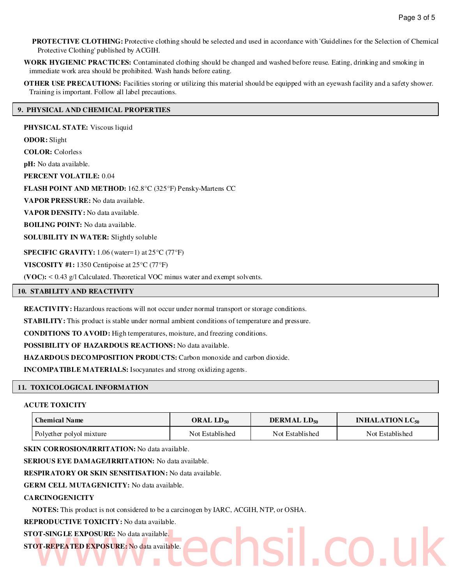**PROTECTIVE CLOTHING:** Protective clothing should be selected and used in accordance with 'Guidelines for the Selection of Chemical Protective Clothing' published by ACGIH.

**WORK HYGIENIC PRACTICES:** Contaminated clothing should be changed and washed before reuse. Eating, drinking and smoking in immediate work area should be prohibited. Wash hands before eating.

**OTHER USE PRECAUTIONS:** Facilities storing or utilizing this material should be equipped with an eyewash facility and a safety shower. Training is important. Follow all label precautions.

# **9. PHYSICAL AND CHEMICAL PROPERTIES**

**PHYSICAL STATE:** Viscous liquid **ODOR:** Slight **COLOR:** Colorless **pH:** No data available. **PERCENT VOLATILE:** 0.04 **FLASH POINT AND METHOD:** 162.8°C (325°F) Pensky-Martens CC **VAPOR PRESSURE:** No data available. **VAPOR DENSITY:** No data available. **BOILING POINT:** No data available. **SOLUBILITY IN WATER:** Slightly soluble **SPECIFIC GRAVITY:** 1.06 (water=1) at 25°C (77°F) **VISCOSITY #1:** 1350 Centipoise at 25°C (77°F)

**(VOC):** < 0.43 g/l Calculated. Theoretical VOC minus water and exempt solvents.

# **10. STABILITY AND REACTIVITY**

**REACTIVITY:** Hazardous reactions will not occur under normal transport or storage conditions.

**STABILITY:** This product is stable under normal ambient conditions of temperature and pressure.

**CONDITIONS TO AVOID:** High temperatures, moisture, and freezing conditions.

**POSSIBILITY OF HAZARDOUS REACTIONS:** No data available.

**HAZARDOUS DECOMPOSITION PRODUCTS:** Carbon monoxide and carbon dioxide.

**INCOMPATIBLE MATERIALS:** Isocyanates and strong oxidizing agents.

#### **11. TOXICOLOGICAL INFORMATION**

# **ACUTE TOXICITY**

| <b>Chemical Name</b>     | ORAL $LD_{50}$  | DERMAL LD <sub>50</sub> | <b>INHALATION LC<sub>50</sub></b> |  |
|--------------------------|-----------------|-------------------------|-----------------------------------|--|
| Polyether polyol mixture | Not Established | Not Established         | Not Established                   |  |

www.techsil.co.uk

**SKIN CORROSION/IRRITATION:** No data available.

**SERIOUS EYE DAMAGE/IRRITATION:** No data available.

**RESPIRATORY OR SKIN SENSITISATION:** No data available.

**GERM CELL MUTAGENICITY:** No data available.

# **CARCINOGENICITY**

**NOTES:** This product is not considered to be a carcinogen by IARC, ACGIH, NTP, or OSHA.

**REPRODUCTIVE TOXICITY:** No data available.

# **STOT-SINGLE EXPOSURE:** No data available.

**STOT-REPEATED EXPOSURE:** No data available.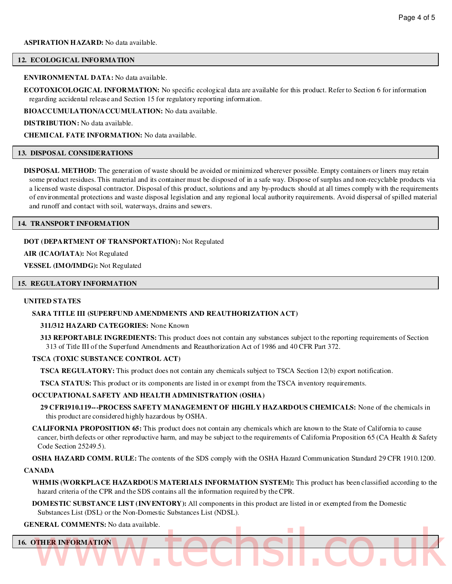#### **ASPIRATION HAZARD:** No data available.

#### **12. ECOLOGICAL INFORMATION**

#### **ENVIRONMENTAL DATA:** No data available.

**ECOTOXICOLOGICAL INFORMATION:** No specific ecological data are available for this product. Refer to Section 6 for information regarding accidental release and Section 15 for regulatory reporting information.

**BIOACCUMULATION/ACCUMULATION:** No data available.

**DISTRIBUTION:** No data available.

**CHEMICAL FATE INFORMATION:** No data available.

#### **13. DISPOSAL CONSIDERATIONS**

**DISPOSAL METHOD:** The generation of waste should be avoided or minimized wherever possible. Empty containers or liners may retain some product residues. This material and its container must be disposed of in a safe way. Dispose of surplus and non-recyclable products via a licensed waste disposal contractor. Disposal of this product, solutions and any by-products should at all times comply with the requirements of environmental protections and waste disposal legislation and any regional local authority requirements. Avoid dispersal of spilled material and runoff and contact with soil, waterways, drains and sewers.

#### **14. TRANSPORT INFORMATION**

#### **DOT (DEPARTMENT OF TRANSPORTATION):** Not Regulated

**AIR (ICAO/IATA):** Not Regulated

**VESSEL (IMO/IMDG):** Not Regulated

# **15. REGULATORY INFORMATION**

# **UNITED STATES**

#### **SARA TITLE III (SUPERFUND AMENDMENTS AND REAUTHORIZATION ACT)**

#### **311/312 HAZARD CATEGORIES:** None Known

**313 REPORTABLE INGREDIENTS:** This product does not contain any substances subject to the reporting requirements of Section 313 of Title III of the Superfund Amendments and Reauthorization Act of 1986 and 40 CFR Part 372.

#### **TSCA (TOXIC SUBSTANCE CONTROL ACT)**

**TSCA REGULATORY:** This product does not contain any chemicals subject to TSCA Section 12(b) export notification.

**TSCA STATUS:** This product or its components are listed in or exempt from the TSCA inventory requirements.

# **OCCUPATIONAL SAFETY AND HEALTH ADMINISTRATION (OSHA)**

**29 CFR1910.119---PROCESS SAFETY MANAGEMENT OF HIGHLY HAZARDOUS CHEMICALS:** None of the chemicals in this product are considered highly hazardous by OSHA.

**CALIFORNIA PROPOSITION 65:** This product does not contain any chemicals which are known to the State of California to cause cancer, birth defects or other reproductive harm, and may be subject to the requirements of California Proposition 65 (CA Health & Safety Code Section 25249.5).

**OSHA HAZARD COMM. RULE:** The contents of the SDS comply with the OSHA Hazard Communication Standard 29 CFR 1910.1200.

#### **CANADA**

**WHMIS (WORKPLACE HAZARDOUS MATERIALS INFORMATION SYSTEM):** This product has been classified according to the hazard criteria of the CPR and the SDS contains all the information required by the CPR.

**DOMESTIC SUBSTANCE LIST (INVENTORY):** All components in this product are listed in or exempted from the Domestic Substances List (DSL) or the Non-Domestic Substances List (NDSL).

#### **GENERAL COMMENTS:** No data available.

# **16. OTHER INFORMATION** WWW.techsi.co.uk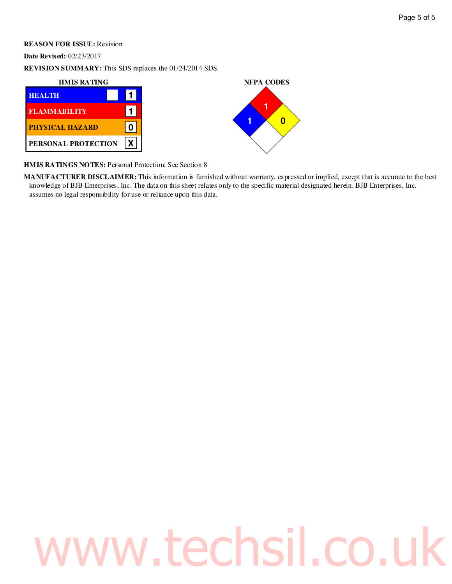# Page 5 of 5

# **REASON FOR ISSUE:** Revision

**Date Revised:** 02/23/2017

**REVISION SUMMARY:** This SDS replaces the 01/24/2014 SDS.





**HMIS RATINGS NOTES:** Personal Protection: See Section 8

**MANUFACTURER DISCLAIMER:** This information is furnished without warranty, expressed or implied, except that is accurate to the best knowledge of BJB Enterprises, Inc. The data on this sheet relates only to the specific material designated herein. BJB Enterprises, Inc. assumes no legal responsibility for use or reliance upon this data.

# www.techsil.co.uk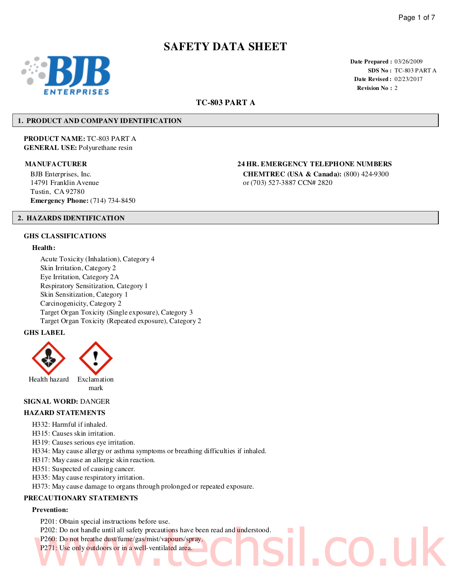# **SAFETY DATA SHEET**



**Date Prepared :** 03/26/2009 **SDS No :** TC-803 PART A **Date Revised :** 02/23/2017 **Revision No :** 2

# **TC-803 PART A**

# **1. PRODUCT AND COMPANY IDENTIFICATION**

**PRODUCT NAME:** TC-803 PART A **GENERAL USE:** Polyurethane resin

BJB Enterprises, Inc. 14791 Franklin Avenue Tustin, CA 92780 **Emergency Phone:** (714) 734-8450

# **MANUFACTURER 24 HR. EMERGENCY TELEPHONE NUMBERS**

**CHEMTREC (USA & Canada):** (800) 424-9300 or (703) 527-3887 CCN# 2820

# **2. HAZARDS IDENTIFICATION**

# **GHS CLASSIFICATIONS**

# **Health:**

Acute Toxicity (Inhalation), Category 4 Skin Irritation, Category 2 Eye Irritation, Category 2A Respiratory Sensitization, Category 1 Skin Sensitization, Category 1 Carcinogenicity, Category 2 Target Organ Toxicity (Single exposure), Category 3 Target Organ Toxicity (Repeated exposure), Category 2

# **GHS LABEL**



# **SIGNAL WORD:** DANGER

## **HAZARD STATEMENTS**

- H332: Harmful if inhaled.
- H315: Causes skin irritation.
- H319: Causes serious eye irritation.
- H334: May cause allergy or asthma symptoms or breathing difficulties if inhaled.
- H317: May cause an allergic skin reaction.
- H351: Suspected of causing cancer.
- H335: May cause respiratory irritation.
- H373: May cause damage to organs through prolonged or repeated exposure.

# **PRECAUTIONARY STATEMENTS**

# **Prevention:**

- P201: Obtain special instructions before use.
- P202: Do not handle until all safety precautions have been read and understood. P202: Do not handle until all safety precautions have been read and understood.<br>P250: Do not breathe dust/fume/gas/mist/vapours/spray.<br>P271: Use only outdoors or in a well-ventilated area.
- P260: Do not breathe dust/fume/gas/mist/vapours/spray.
- P271: Use only outdoors or in a well-ventilated area.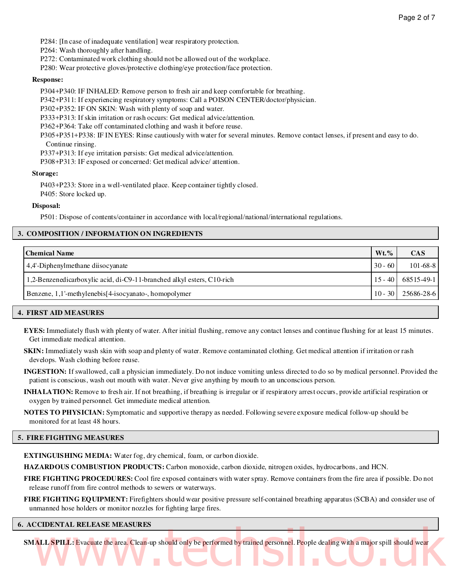P284: [In case of inadequate ventilation] wear respiratory protection.

P264: Wash thoroughly after handling.

P272: Contaminated work clothing should not be allowed out of the workplace.

P280: Wear protective gloves/protective clothing/eye protection/face protection.

#### **Response:**

P304+P340: IF INHALED: Remove person to fresh air and keep comfortable for breathing.

P342+P311: If experiencing respiratory symptoms: Call a POISON CENTER/doctor/physician.

P302+P352: IF ON SKIN: Wash with plenty of soap and water.

P333+P313: If skin irritation or rash occurs: Get medical advice/attention.

P362+P364: Take off contaminated clothing and wash it before reuse.

P305+P351+P338: IF IN EYES: Rinse cautiously with water for several minutes. Remove contact lenses, if present and easy to do. Continue rinsing.

P337+P313: If eye irritation persists: Get medical advice/attention.

P308+P313: IF exposed or concerned: Get medical advice/ attention.

#### **Storage:**

P403+P233: Store in a well-ventilated place. Keep container tightly closed. P405: Store locked up.

#### **Disposal:**

P501: Dispose of contents/container in accordance with local/regional/national/international regulations.

# **3. COMPOSITION / INFORMATION ON INGREDIENTS**

| Chemical Name                                                          | $Wt.$ %   | <b>CAS</b>             |
|------------------------------------------------------------------------|-----------|------------------------|
| 4,4'-Diphenylmethane diisocyanate                                      | $30 - 60$ | $101 - 68 - 8$         |
| 1,2-Benzenedicarboxylic acid, di-C9-11-branched alkyl esters, C10-rich |           | $15 - 40$ 68515-49-1   |
| Benzene, 1,1'-methylenebis[4-isocyanato-, homopolymer                  |           | $10 - 30$   25686-28-6 |

# **4. FIRST AID MEASURES**

**EYES:** Immediately flush with plenty of water. After initial flushing, remove any contact lenses and continue flushing for at least 15 minutes. Get immediate medical attention.

**SKIN:** Immediately wash skin with soap and plenty of water. Remove contaminated clothing. Get medical attention if irritation or rash develops. Wash clothing before reuse.

**INGESTION:** If swallowed, call a physician immediately. Do not induce vomiting unless directed to do so by medical personnel. Provided the patient is conscious, wash out mouth with water. Never give anything by mouth to an unconscious person.

**INHALATION:** Remove to fresh air. If not breathing, if breathing is irregular or if respiratory arrest occurs, provide artificial respiration or oxygen by trained personnel. Get immediate medical attention.

**NOTES TO PHYSICIAN:** Symptomatic and supportive therapy as needed. Following severe exposure medical follow-up should be monitored for at least 48 hours.

#### **5. FIRE FIGHTING MEASURES**

**EXTINGUISHING MEDIA:** Water fog, dry chemical, foam, or carbon dioxide.

**HAZARDOUS COMBUSTION PRODUCTS:** Carbon monoxide, carbon dioxide, nitrogen oxides, hydrocarbons, and HCN.

**FIRE FIGHTING PROCEDURES:** Cool fire exposed containers with water spray. Remove containers from the fire area if possible. Do not release runoff from fire control methods to sewers or waterways.

**FIRE FIGHTING EQUIPMENT:** Firefighters should wear positive pressure self-contained breathing apparatus (SCBA) and consider use of unmanned hose holders or monitor nozzles for fighting large fires.

# **6. ACCIDENTAL RELEASE MEASURES**

**SMALL SPILL:** Evacuate the area. Clean-up should only be performed by trained personnel. People dealing with a major spill should wear ALL SPILL: Evacuate the area. Clean-up should only be performed by trained personnel. People dealing with a major spill should wear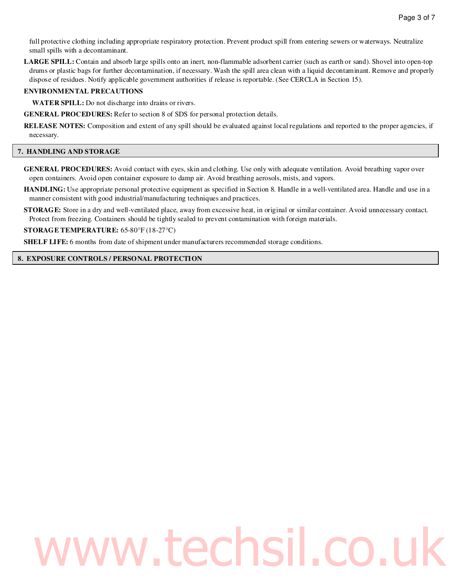full protective clothing including appropriate respiratory protection. Prevent product spill from entering sewers or waterways. Neutralize small spills with a decontaminant.

**LARGE SPILL:** Contain and absorb large spills onto an inert, non-flammable adsorbent carrier (such as earth or sand). Shovel into open-top drums or plastic bags for further decontamination, if necessary. Wash the spill area clean with a liquid decontaminant. Remove and properly dispose of residues. Notify applicable government authorities if release is reportable. (See CERCLA in Section 15).

# **ENVIRONMENTAL PRECAUTIONS**

**WATER SPILL:** Do not discharge into drains or rivers.

**GENERAL PROCEDURES:** Refer to section 8 of SDS for personal protection details.

**RELEASE NOTES:** Composition and extent of any spill should be evaluated against local regulations and reported to the proper agencies, if necessary.

# **7. HANDLING AND STORAGE**

- **GENERAL PROCEDURES:** Avoid contact with eyes, skin and clothing. Use only with adequate ventilation. Avoid breathing vapor over open containers. Avoid open container exposure to damp air. Avoid breathing aerosols, mists, and vapors.
- **HANDLING:** Use appropriate personal protective equipment as specified in Section 8. Handle in a well-ventilated area. Handle and use in a manner consistent with good industrial/manufacturing techniques and practices.
- **STORAGE:** Store in a dry and well-ventilated place, away from excessive heat, in original or similar container. Avoid unnecessary contact. Protect from freezing. Containers should be tightly sealed to prevent contamination with foreign materials.

**STORAGE TEMPERATURE:** 65-80°F (18-27°C)

**SHELF LIFE:** 6 months from date of shipment under manufacturers recommended storage conditions.

# **8. EXPOSURE CONTROLS / PERSONAL PROTECTION**

# ww.techsil.co.uk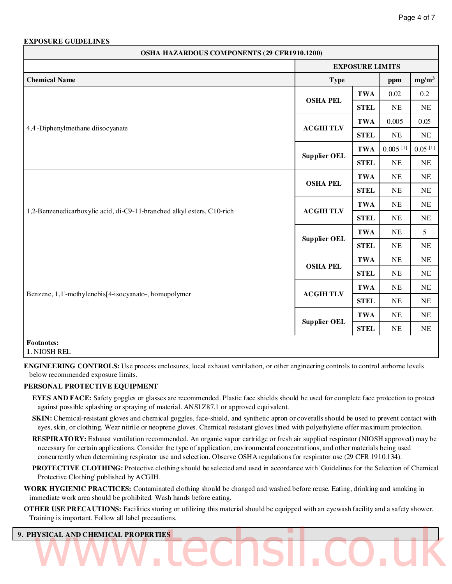# **EXPOSURE GUIDELINES**

| OSHA HAZARDOUS COMPONENTS (29 CFR1910.1200)                            |                     |                        |                        |                       |  |
|------------------------------------------------------------------------|---------------------|------------------------|------------------------|-----------------------|--|
|                                                                        |                     | <b>EXPOSURE LIMITS</b> |                        |                       |  |
| <b>Chemical Name</b>                                                   | <b>Type</b><br>ppm  |                        |                        | mg/m <sup>3</sup>     |  |
|                                                                        |                     | <b>TWA</b>             | 0.02                   | $0.2\,$               |  |
|                                                                        | <b>OSHA PEL</b>     | <b>STEL</b>            | $\rm NE$               | <b>NE</b>             |  |
|                                                                        |                     | <b>TWA</b>             | 0.005                  | 0.05                  |  |
| 4,4'-Diphenylmethane diisocyanate                                      | <b>ACGIHTLV</b>     | <b>STEL</b>            | $\rm NE$               | $\rm NE$              |  |
|                                                                        |                     | <b>TWA</b>             | $0.005$ <sup>[1]</sup> | $0.05$ <sup>[1]</sup> |  |
|                                                                        | <b>Supplier OEL</b> | <b>STEL</b>            | $\rm NE$               | $\rm NE$              |  |
|                                                                        | <b>OSHA PEL</b>     | <b>TWA</b>             | $\rm NE$               | NE                    |  |
|                                                                        |                     | <b>STEL</b>            | $\rm NE$               | $\rm NE$              |  |
|                                                                        | <b>ACGIHTLV</b>     | <b>TWA</b>             | NE                     | NE                    |  |
| 1,2-Benzenedicarboxylic acid, di-C9-11-branched alkyl esters, C10-rich |                     | <b>STEL</b>            | $\rm NE$               | $\rm NE$              |  |
|                                                                        | <b>Supplier OEL</b> | <b>TWA</b>             | $\rm NE$               | 5                     |  |
|                                                                        |                     | <b>STEL</b>            | $\rm NE$               | <b>NE</b>             |  |
|                                                                        |                     | <b>TWA</b>             | $\rm NE$               | NE                    |  |
|                                                                        | <b>OSHA PEL</b>     | <b>STEL</b>            | $\rm NE$               | $\rm NE$              |  |
|                                                                        | <b>ACGIHTLV</b>     | <b>TWA</b>             | $\rm NE$               | <b>NE</b>             |  |
| Benzene, 1,1'-methylenebis[4-isocyanato-, homopolymer                  |                     | <b>STEL</b>            | $\rm NE$               | $\rm NE$              |  |
|                                                                        |                     | <b>TWA</b>             | $\rm NE$               | $\rm NE$              |  |
|                                                                        | <b>Supplier OEL</b> | <b>STEL</b>            | $\rm NE$               | $\rm NE$              |  |
| Footnotes:<br>1. NIOSH REL                                             |                     |                        |                        |                       |  |

**ENGINEERING CONTROLS:** Use process enclosures, local exhaust ventilation, or other engineering controls to control airborne levels below recommended exposure limits.

# **PERSONAL PROTECTIVE EQUIPMENT**

- **EYES AND FACE:** Safety goggles or glasses are recommended. Plastic face shields should be used for complete face protection to protect against possible splashing or spraying of material. ANSI Z87.1 or approved equivalent.
- **SKIN:** Chemical-resistant gloves and chemical goggles, face-shield, and synthetic apron or coveralls should be used to prevent contact with eyes, skin, or clothing. Wear nitrile or neoprene gloves. Chemical resistant gloves lined with polyethylene offer maximum protection.
- **RESPIRATORY:** Exhaust ventilation recommended. An organic vapor cartridge or fresh air supplied respirator (NIOSH approved) may be necessary for certain applications. Consider the type of application, environmental concentrations, and other materials being used concurrently when determining respirator use and selection. Observe OSHA regulations for respirator use (29 CFR 1910.134).
- **PROTECTIVE CLOTHING:** Protective clothing should be selected and used in accordance with 'Guidelines for the Selection of Chemical Protective Clothing' published by ACGIH.
- **WORK HYGIENIC PRACTICES:** Contaminated clothing should be changed and washed before reuse. Eating, drinking and smoking in immediate work area should be prohibited. Wash hands before eating.
- **OTHER USE PRECAUTIONS:** Facilities storing or utilizing this material should be equipped with an eyewash facility and a safety shower. Training is important. Follow all label precautions.

# **9. PHYSICAL AND CHEMICAL PROPERTIES** WWW.CCCISI.CO.UK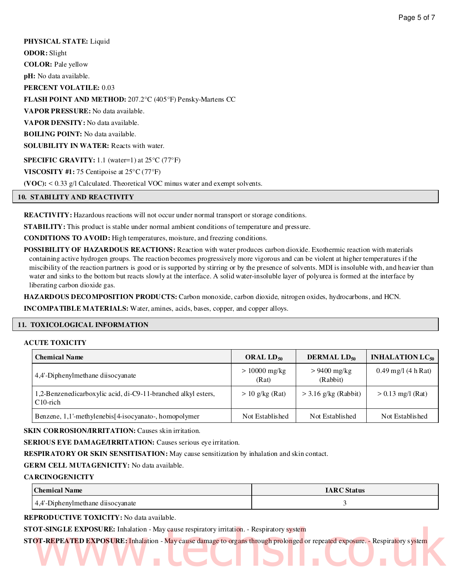**PHYSICAL STATE:** Liquid **ODOR:** Slight **COLOR:** Pale yellow **pH:** No data available. **PERCENT VOLATILE:** 0.03 **FLASH POINT AND METHOD:** 207.2°C (405°F) Pensky-Martens CC **VAPOR PRESSURE:** No data available. **VAPOR DENSITY:** No data available. **BOILING POINT:** No data available. **SOLUBILITY IN WATER:** Reacts with water. **SPECIFIC GRAVITY:** 1.1 (water=1) at 25°C (77°F) **VISCOSITY #1:** 75 Centipoise at 25°C (77°F) **(VOC):** < 0.33 g/l Calculated. Theoretical VOC minus water and exempt solvents.

# **10. STABILITY AND REACTIVITY**

**REACTIVITY:** Hazardous reactions will not occur under normal transport or storage conditions.

**STABILITY:** This product is stable under normal ambient conditions of temperature and pressure.

**CONDITIONS TO AVOID:** High temperatures, moisture, and freezing conditions.

**POSSIBILITY OF HAZARDOUS REACTIONS:** Reaction with water produces carbon dioxide. Exothermic reaction with materials containing active hydrogen groups. The reaction becomes progressively more vigorous and can be violent at higher temperatures if the miscibility of the reaction partners is good or is supported by stirring or by the presence of solvents. MDI is insoluble with, and heavier than water and sinks to the bottom but reacts slowly at the interface. A solid water-insoluble layer of polyurea is formed at the interface by liberating carbon dioxide gas.

**HAZARDOUS DECOMPOSITION PRODUCTS:** Carbon monoxide, carbon dioxide, nitrogen oxides, hydrocarbons, and HCN.

**INCOMPATIBLE MATERIALS:** Water, amines, acids, bases, copper, and copper alloys.

# **11. TOXICOLOGICAL INFORMATION**

# **ACUTE TOXICITY**

| <b>Chemical Name</b>                                                         | ORAL LD <sub>50</sub>    | DERMAL LD <sub>50</sub>    | <b>INHALATION LC<sub>50</sub></b> |
|------------------------------------------------------------------------------|--------------------------|----------------------------|-----------------------------------|
| 4,4'-Diphenylmethane diisocyanate                                            | $> 10000$ mg/kg<br>(Rat) | $> 9400$ mg/kg<br>(Rabbit) | $0.49$ mg/l (4 h Rat)             |
| 1,2-Benzenedicarboxylic acid, di-C9-11-branched alkyl esters,<br>$C10$ -rich | $> 10$ g/kg (Rat)        | $>$ 3.16 g/kg (Rabbit)     | $> 0.13$ mg/l (Rat)               |
| Benzene, 1,1'-methylenebis <sup>[4-isocyanato-, homopolymer]</sup>           | Not Established          | Not Established            | Not Established                   |

**SKIN CORROSION/IRRITATION:** Causes skin irritation.

**SERIOUS EYE DAMAGE/IRRITATION:** Causes serious eye irritation.

**RESPIRATORY OR SKIN SENSITISATION:** May cause sensitization by inhalation and skin contact.

# **GERM CELL MUTAGENICITY:** No data available.

# **CARCINOGENICITY**

| <b>Chemical Name</b>              | <b>IARC</b> Status |
|-----------------------------------|--------------------|
| 4.4'-Diphenylmethane diisocyanate |                    |

**REPRODUCTIVE TOXICITY:** No data available.

**STOT-SINGLE EXPOSURE:** Inhalation - May cause respiratory irritation. - Respiratory system

**STOT-REPEATED EXPOSURE:** Inhalation - May cause damage to organs through prolonged or repeated exposure. - Respiratory system DT-SINGLE EXPOSURE: Inhalation - May cause respiratory irritation. - Respiratory system<br>DT-REPEATED EXPOSURE: Inhalation - May cause damage to organs through prolonged or repeated exposure. - Respiratory system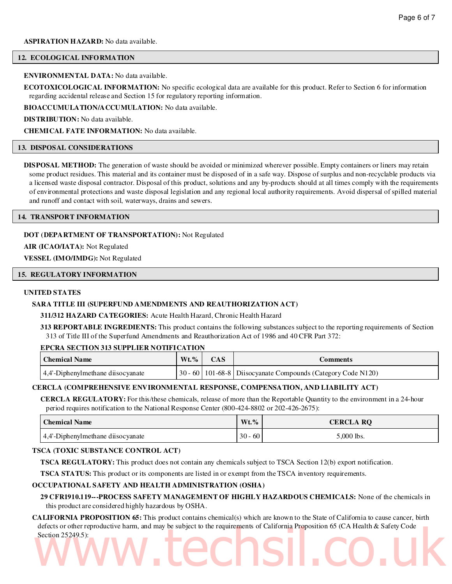# **12. ECOLOGICAL INFORMATION**

# **ENVIRONMENTAL DATA:** No data available.

**ECOTOXICOLOGICAL INFORMATION:** No specific ecological data are available for this product. Refer to Section 6 for information regarding accidental release and Section 15 for regulatory reporting information.

**BIOACCUMULATION/ACCUMULATION:** No data available.

**DISTRIBUTION:** No data available.

**CHEMICAL FATE INFORMATION:** No data available.

# **13. DISPOSAL CONSIDERATIONS**

**DISPOSAL METHOD:** The generation of waste should be avoided or minimized wherever possible. Empty containers or liners may retain some product residues. This material and its container must be disposed of in a safe way. Dispose of surplus and non-recyclable products via a licensed waste disposal contractor. Disposal of this product, solutions and any by-products should at all times comply with the requirements of environmental protections and waste disposal legislation and any regional local authority requirements. Avoid dispersal of spilled material and runoff and contact with soil, waterways, drains and sewers.

# **14. TRANSPORT INFORMATION**

# **DOT (DEPARTMENT OF TRANSPORTATION):** Not Regulated

**AIR (ICAO/IATA):** Not Regulated

**VESSEL (IMO/IMDG):** Not Regulated

# **15. REGULATORY INFORMATION**

# **UNITED STATES**

# **SARA TITLE III (SUPERFUND AMENDMENTS AND REAUTHORIZATION ACT)**

# **311/312 HAZARD CATEGORIES:** Acute Health Hazard, Chronic Health Hazard

**313 REPORTABLE INGREDIENTS:** This product contains the following substances subject to the reporting requirements of Section 313 of Title III of the Superfund Amendments and Reauthorization Act of 1986 and 40 CFR Part 372:

# **EPCRA SECTION 313 SUPPLIER NOTIFICATION**

| Chemical Name                            | $Wt. \%$ $CAS$ | <i>E</i> omments                                                                  |
|------------------------------------------|----------------|-----------------------------------------------------------------------------------|
| $\vert$ 4,4'-Diphenylmethane disocyanate |                | $\mid$ 30 - 60 $\mid$ 101-68-8 $\mid$ Diisocyanate Compounds (Category Code N120) |

# **CERCLA (COMPREHENSIVE ENVIRONMENTAL RESPONSE, COMPENSATION, AND LIABILITY ACT)**

**CERCLA REGULATORY:** For this/these chemicals, release of more than the Reportable Quantity to the environment in a 24-hour period requires notification to the National Response Center (800-424-8802 or 202-426-2675):

| <b>Chemical Name</b>              | $Wt. \%$      | <b>CERCLA RQ</b> |
|-----------------------------------|---------------|------------------|
| 4.4'-Diphenylmethane diisocyanate | -60<br>$30 -$ | $5,000$ lbs.     |

# **TSCA (TOXIC SUBSTANCE CONTROL ACT)**

**TSCA REGULATORY:** This product does not contain any chemicals subject to TSCA Section 12(b) export notification.

**TSCA STATUS:** This product or its components are listed in or exempt from the TSCA inventory requirements.

# **OCCUPATIONAL SAFETY AND HEALTH ADMINISTRATION (OSHA)**

**29 CFR1910.119---PROCESS SAFETY MANAGEMENT OF HIGHLY HAZARDOUS CHEMICALS:** None of the chemicals in this product are considered highly hazardous by OSHA.

**CALIFORNIA PROPOSITION 65:** This product contains chemical(s) which are known to the State of California to cause cancer, birth defects or other reproductive harm, and may be subject to the requirements of California Proposition 65 (CA Health & Safety Code Section 25249.5): Section 25249.5):<br>Section 25249.5):<br>WWW.CCCISI